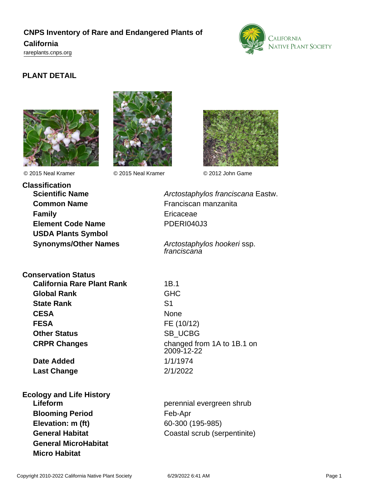## **CNPS Inventory of Rare and Endangered Plants of California**

<rareplants.cnps.org>



## **PLANT DETAIL**





© 2015 Neal Kramer © 2015 Neal Kramer © 2012 John Game



**Classification Common Name** Franciscan manzanita **Family** Ericaceae **Element Code Name** PDERI040J3 **USDA Plants Symbol**

**Scientific Name Arctostaphylos franciscana Eastw.** 

**Synonyms/Other Names** Arctostaphylos hookeri ssp. franciscana

**Conservation Status**

**California Rare Plant Rank** 1B.1 **Global Rank** GHC **State Rank** S1 CESA None **FESA** FE (10/12) **Other Status** SB UCBG

**Date Added** 1/1/1974 **Last Change** 2/1/2022

**Ecology and Life History Blooming Period** Feb-Apr **Elevation: m (ft)** 60-300 (195-985) **General MicroHabitat Micro Habitat**

**CRPR Changes** changed from 1A to 1B.1 on 2009-12-22

**Lifeform perennial evergreen shrub General Habitat** Coastal scrub (serpentinite)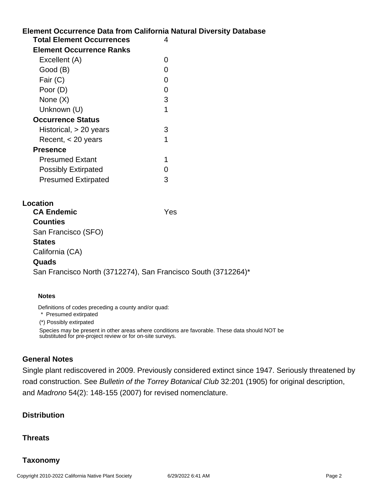# **Element Occurrence Data from California Natural Diversity Database Location Total Element Occurrences** 4 **Element Occurrence Ranks** Excellent (A) 0 Good (B) and the contract of the contract of the contract of the contract of the contract of the contract of the contract of the contract of the contract of the contract of the contract of the contract of the contract of t Fair (C) 0 Poor (D) 0 None  $(X)$  3 Unknown (U) 1 **Occurrence Status** Historical, > 20 years 3 Recent, < 20 years 1 **Presence** Presumed Extant 1 Possibly Extirpated 0 Presumed Extirpated 3 **CA Endemic** Yes **Counties** San Francisco (SFO) **States** California (CA) **Quads** San Francisco North (3712274), San Francisco South (3712264)\*

#### **Notes**

Definitions of codes preceding a county and/or quad:

\* Presumed extirpated

(\*) Possibly extirpated

Species may be present in other areas where conditions are favorable. These data should NOT be substituted for pre-project review or for on-site surveys.

### **General Notes**

Single plant rediscovered in 2009. Previously considered extinct since 1947. Seriously threatened by road construction. See Bulletin of the Torrey Botanical Club 32:201 (1905) for original description, and Madrono 54(2): 148-155 (2007) for revised nomenclature.

## **Distribution**

### **Threats**

## **Taxonomy**